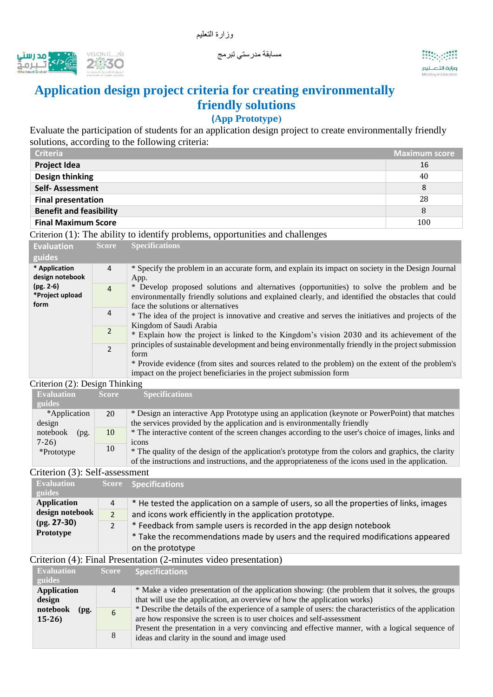



# **Application design project criteria for creating environmentally friendly solutions**

## **(App Prototype(**

مسابقة مدرستي تبرمج

Evaluate the participation of students for an application design project to create environmentally friendly solutions, according to the following criteria:

| <b>Criteria</b>                | <b>Maximum score</b> |
|--------------------------------|----------------------|
| <b>Project Idea</b>            | 16                   |
| <b>Design thinking</b>         | 40                   |
| <b>Self-Assessment</b>         | 8                    |
| <b>Final presentation</b>      | 28                   |
| <b>Benefit and feasibility</b> | 8                    |
| <b>Final Maximum Score</b>     | 100                  |

Criterion (1): The ability to identify problems, opportunities and challenges

| <b>Evaluation</b>                                                                                                                                       | <b>Score</b> | <b>Specifications</b>                                                                                                                                                                                                                |
|---------------------------------------------------------------------------------------------------------------------------------------------------------|--------------|--------------------------------------------------------------------------------------------------------------------------------------------------------------------------------------------------------------------------------------|
| guides                                                                                                                                                  |              |                                                                                                                                                                                                                                      |
| * Application<br>$\overline{4}$<br>design notebook<br>$(pg. 2-6)$<br>$\overline{4}$<br>*Project upload<br>form<br>4<br>$\overline{2}$<br>$\mathfrak{p}$ |              | * Specify the problem in an accurate form, and explain its impact on society in the Design Journal<br>App.                                                                                                                           |
|                                                                                                                                                         |              | * Develop proposed solutions and alternatives (opportunities) to solve the problem and be<br>environmentally friendly solutions and explained clearly, and identified the obstacles that could<br>face the solutions or alternatives |
|                                                                                                                                                         |              | * The idea of the project is innovative and creative and serves the initiatives and projects of the<br>Kingdom of Saudi Arabia                                                                                                       |
|                                                                                                                                                         |              | * Explain how the project is linked to the Kingdom's vision 2030 and its achievement of the                                                                                                                                          |
|                                                                                                                                                         |              | principles of sustainable development and being environmentally friendly in the project submission<br>form                                                                                                                           |
|                                                                                                                                                         |              | * Provide evidence (from sites and sources related to the problem) on the extent of the problem's<br>impact on the project beneficiaries in the project submission form                                                              |

#### Criterion (2): Design Thinking

| <b>Evaluation</b> | <b>Score</b> | <b>Specifications</b>                                                                                |
|-------------------|--------------|------------------------------------------------------------------------------------------------------|
| guides            |              |                                                                                                      |
| *Application      | 20           | * Design an interactive App Prototype using an application (keynote or PowerPoint) that matches      |
| design            |              | the services provided by the application and is environmentally friendly                             |
| notebook<br>(pg)  | 10           | * The interactive content of the screen changes according to the user's choice of images, links and  |
| $7-26$            |              | 1 <sub>c</sub> ons                                                                                   |
| *Prototype        | 10           | * The quality of the design of the application's prototype from the colors and graphics, the clarity |
|                   |              | of the instructions and instructions, and the appropriateness of the icons used in the application.  |

#### Criterion (3): Self-assessment

| <b>Evaluation</b>                             |                | Score Specifications                                                                     |
|-----------------------------------------------|----------------|------------------------------------------------------------------------------------------|
| guides                                        |                |                                                                                          |
| <b>Application</b>                            | 4              | * He tested the application on a sample of users, so all the properties of links, images |
| design notebook<br>$(pg. 27-30)$<br>Prototype | $\overline{2}$ | and icons work efficiently in the application prototype.                                 |
|                                               | 2              | * Feedback from sample users is recorded in the app design notebook                      |
|                                               |                | * Take the recommendations made by users and the required modifications appeared         |
|                                               |                | on the prototype                                                                         |

### Criterion (4): Final Presentation (2-minutes video presentation)

| <b>Evaluation</b>           | <b>Score</b> | <b>Specifications</b>                                                                                                                                                         |
|-----------------------------|--------------|-------------------------------------------------------------------------------------------------------------------------------------------------------------------------------|
| guides                      |              |                                                                                                                                                                               |
| <b>Application</b>          | 4            | * Make a video presentation of the application showing: (the problem that it solves, the groups                                                                               |
| design                      |              | that will use the application, an overview of how the application works)                                                                                                      |
| notebook<br>(pg.<br>$15-26$ | 6            | * Describe the details of the experience of a sample of users: the characteristics of the application<br>are how responsive the screen is to user choices and self-assessment |
|                             | 8            | Present the presentation in a very convincing and effective manner, with a logical sequence of<br>ideas and clarity in the sound and image used                               |